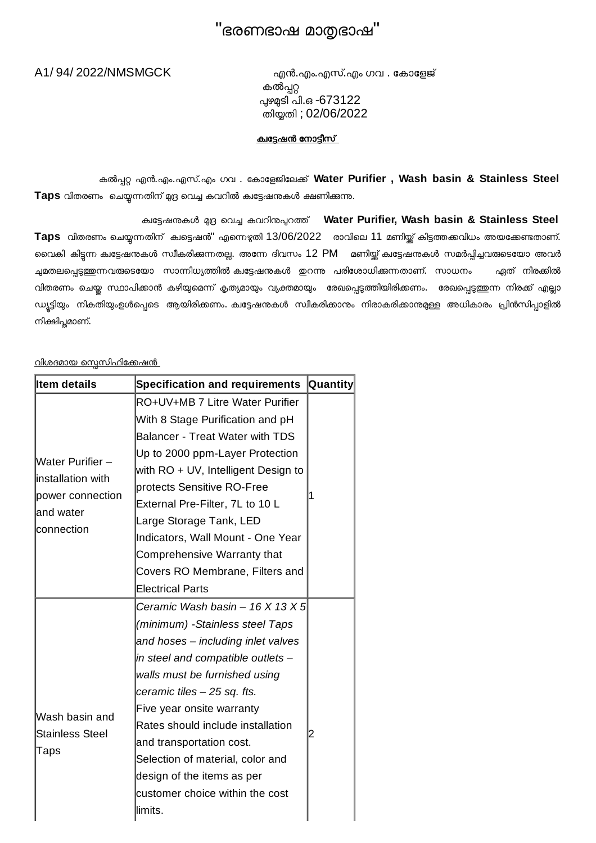## "ഭരണഭാഷ മാഭാഷ"

A1/ 94/ 2022/NMSMGCK എൻ.എം.എസ്.എം ഗവ . േകാേളജ് കൽപ്പറ്റ ഴടി പി.ഒ -673122 തിതി ; 02/06/2022

### <u>കഭേഷൻ നോടീസ്</u>

കൽ എൻ.എം.എസ്.എം ഗവ . േകാേളജിേല\$് **Water Purifier , Wash basin & Stainless Steel** Taps വിതരണം ചെയ്യന്നതിന് മുദ്ര വെച്ച കവറിൽ ക്വട്ടേഷനുകൾ ക്ഷണിക്കുന്നു.

ക്കട്ടേഷനുകൾ മദ്ര വെച്ച കവറിനുപ്പറത്ത് Water Purifier, Wash basin & Stainless Steel Taps വിതരണം ചെയ്യന്നതിന് കുട്ടെഷൻ" എന്നെഴുതി 13/06/2022 രാവിലെ 11 മണിയ്ക് കിട്ടത്തക്കവിധം അയക്കേണ്ടതാണ്. വൈകി കിട്ടന്ന കുട്ടേഷനുകൾ സ്വീകരിക്കുന്നതല്ല. അന്നേ ദിവസം 12 PM മണിയ്ക്ക് കുട്ടേഷനുകൾ സമർപ്പിച്ചവരുടെയോ അവർ ച്ചമതലപ്പെടുത്തുന്നവരുടെയോ സാന്നിധ്യത്തിൽ ക്ഷഭ്ടേഷനുകൾ ഇറന്നു പരിശോധിക്കുന്നതാണ്. സാധനം ഏത് നിരക്കിൽ വിതരണം ചെയ്ത സ്ഥാപിക്കാൻ കഴിയുമെന്ന് കൃത്യമായും വ്യക്തമായും രേഖപ്പെടുത്തിയിരിക്കണം. രേഖപ്പെടുത്തുന്ന നിരക്ക് എല്ലാ ഡ്യട്ടിയും നികതിയുംഉൾപ്പെടെ ആയിരിക്കണം. കിട്ടേഷനുകൾ സ്വീകരിക്കാനും നിരാകരിക്കാന്മമുള്ള അധികാരം പ്രിൻസിപ്പാളിൽ നിക്ഷിപ്ലമാണ്.

### <u>വിശദമായ സെസിഫിക്കേഷൻ</u>

| <b>Item details</b>                                                                           | <b>Specification and requirements</b> | <b>Quantity</b> |
|-----------------------------------------------------------------------------------------------|---------------------------------------|-----------------|
| <b>Water Purifier -</b><br>linstallation with<br>power connection<br>land water<br>connection | RO+UV+MB 7 Litre Water Purifier       | 1               |
|                                                                                               | With 8 Stage Purification and pH      |                 |
|                                                                                               | Balancer - Treat Water with TDS       |                 |
|                                                                                               | Up to 2000 ppm-Layer Protection       |                 |
|                                                                                               | with RO + UV, Intelligent Design to   |                 |
|                                                                                               | protects Sensitive RO-Free            |                 |
|                                                                                               | External Pre-Filter, 7L to 10 L       |                 |
|                                                                                               | Large Storage Tank, LED               |                 |
|                                                                                               | Indicators, Wall Mount - One Year     |                 |
|                                                                                               | Comprehensive Warranty that           |                 |
|                                                                                               | Covers RO Membrane, Filters and       |                 |
|                                                                                               | <b>Electrical Parts</b>               |                 |
| Wash basin and<br><b>Stainless Steel</b><br>Taps                                              | Ceramic Wash basin – 16 X 13 X 5      | 2               |
|                                                                                               | (minimum) -Stainless steel Taps       |                 |
|                                                                                               | and hoses – including inlet valves    |                 |
|                                                                                               | in steel and compatible outlets –     |                 |
|                                                                                               | walls must be furnished using         |                 |
|                                                                                               | ceramic tiles – 25 sq. fts.           |                 |
|                                                                                               | Five year onsite warranty             |                 |
|                                                                                               | Rates should include installation     |                 |
|                                                                                               | and transportation cost.              |                 |
|                                                                                               | Selection of material, color and      |                 |
|                                                                                               | design of the items as per            |                 |
|                                                                                               | customer choice within the cost       |                 |
|                                                                                               | llimits.                              |                 |